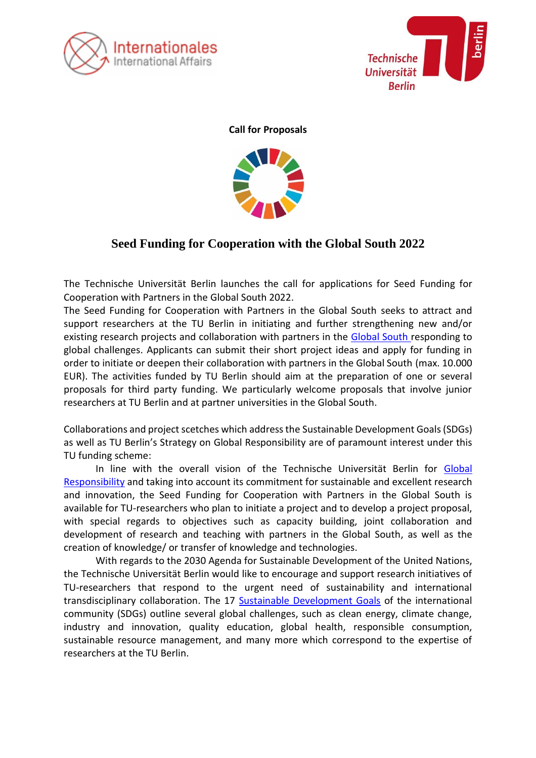



**Call for Proposals**



# **Seed Funding for Cooperation with the Global South 2022**

The Technische Universität Berlin launches the call for applications for Seed Funding for Cooperation with Partners in the Global South 2022.

The Seed Funding for Cooperation with Partners in the Global South seeks to attract and support researchers at the TU Berlin in initiating and further strengthening new and/or existing research projects and collaboration with partners in the [Global South](https://www.oecd.org/dac/financing-sustainable-development/development-finance-standards/DAC-List-of-ODA-Recipients-for-reporting-2022-23-flows.pdf) responding to global challenges. Applicants can submit their short project ideas and apply for funding in order to initiate or deepen their collaboration with partners in the Global South (max. 10.000 EUR). The activities funded by TU Berlin should aim at the preparation of one or several proposals for third party funding. We particularly welcome proposals that involve junior researchers at TU Berlin and at partner universities in the Global South.

Collaborations and project scetches which address the Sustainable Development Goals (SDGs) as well as TU Berlin's Strategy on Global Responsibility are of paramount interest under this TU funding scheme:

In line with the overall vision of the Technische Universität Berlin for [Global](https://www.naturwissenschaften.tu-berlin.de/menue/internationales/referat_internationale_projekte/globaler_sueden/globale_verantwortung_der_tu_berlin/parameter/en/)  [Responsibility](https://www.naturwissenschaften.tu-berlin.de/menue/internationales/referat_internationale_projekte/globaler_sueden/globale_verantwortung_der_tu_berlin/parameter/en/) and taking into account its commitment for sustainable and excellent research and innovation, the Seed Funding for Cooperation with Partners in the Global South is available for TU-researchers who plan to initiate a project and to develop a project proposal, with special regards to objectives such as capacity building, joint collaboration and development of research and teaching with partners in the Global South, as well as the creation of knowledge/ or transfer of knowledge and technologies.

With regards to the 2030 Agenda for Sustainable Development of the United Nations, the Technische Universität Berlin would like to encourage and support research initiatives of TU-researchers that respond to the urgent need of sustainability and international transdisciplinary collaboration. The 17 [Sustainable Development Goals](https://sustainabledevelopment.un.org/sdgs) of the international community (SDGs) outline several global challenges, such as clean energy, climate change, industry and innovation, quality education, global health, responsible consumption, sustainable resource management, and many more which correspond to the expertise of researchers at the TU Berlin.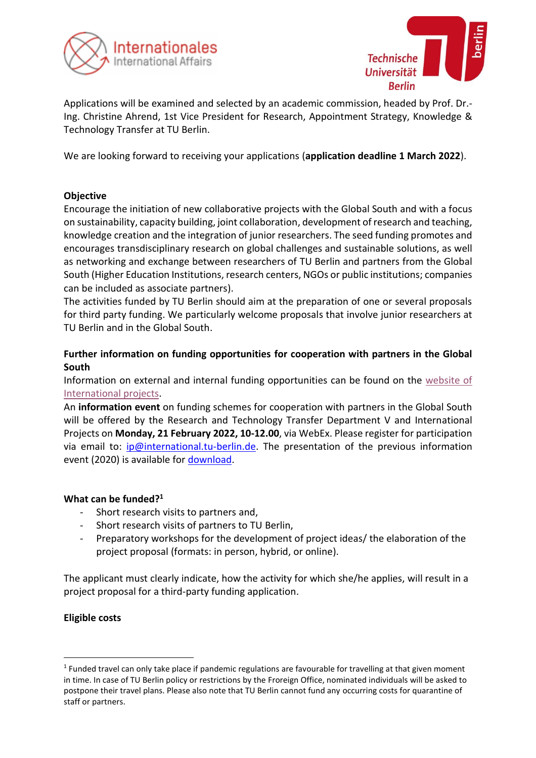



Applications will be examined and selected by an academic commission, headed by Prof. Dr.- Ing. Christine Ahrend, 1st Vice President for Research, [Appointment](https://www.tu.berlin/en/about/organization/executive-board/vice-president-for-research-appointment-strategy-knowledge-technology-transfer/) Strategy, Knowledge & [Technology](https://www.tu.berlin/en/about/organization/executive-board/vice-president-for-research-appointment-strategy-knowledge-technology-transfer/) Transfer at TU Berlin.

We are looking forward to receiving your applications (**application deadline 1 March 2022**).

# **Objective**

Encourage the initiation of new collaborative projects with the Global South and with a focus on sustainability, capacity building, joint collaboration, development of research and teaching, knowledge creation and the integration of junior researchers. The seed funding promotes and encourages transdisciplinary research on global challenges and sustainable solutions, as well as networking and exchange between researchers of TU Berlin and partners from the Global South (Higher Education Institutions, research centers, NGOs or public institutions; companies can be included as associate partners).

The activities funded by TU Berlin should aim at the preparation of one or several proposals for third party funding. We particularly welcome proposals that involve junior researchers at TU Berlin and in the Global South.

# **Further information on funding opportunities for cooperation with partners in the Global South**

Information on external and internal funding opportunities can be found on the [website of](https://www.naturwissenschaften.tu-berlin.de/menue/international/international_projects_section/funding_opportunities/complementary_offers_at_tu_berlin/parameter/en/)  [International projects.](https://www.naturwissenschaften.tu-berlin.de/menue/international/international_projects_section/funding_opportunities/complementary_offers_at_tu_berlin/parameter/en/)

An **information event** on funding schemes for cooperation with partners in the Global South will be offered by the Research and Technology Transfer Department V and International Projects on **Monday, 21 February 2022, 10-12.00**, via WebEx. Please register for participation via email to: [ip@international.tu-berlin.de.](mailto:ip@international.tu-berlin.de) The presentation of the previous information event (2020) is available for [download.](https://www.naturwissenschaften.tu-berlin.de/fileadmin/f2_internationalesfak2/Funding_Coop_GlobalSouth_2020_presentation_TUB.pdf)

# **What can be funded?<sup>1</sup>**

- Short research visits to partners and,
- Short research visits of partners to TU Berlin,
- Preparatory workshops for the development of project ideas/ the elaboration of the project proposal (formats: in person, hybrid, or online).

The applicant must clearly indicate, how the activity for which she/he applies, will result in a project proposal for a third-party funding application.

# **Eligible costs**

<sup>&</sup>lt;sup>1</sup> Funded travel can only take place if pandemic regulations are favourable for travelling at that given moment in time. In case of TU Berlin policy or restrictions by the Froreign Office, nominated individuals will be asked to postpone their travel plans. Please also note that TU Berlin cannot fund any occurring costs for quarantine of staff or partners.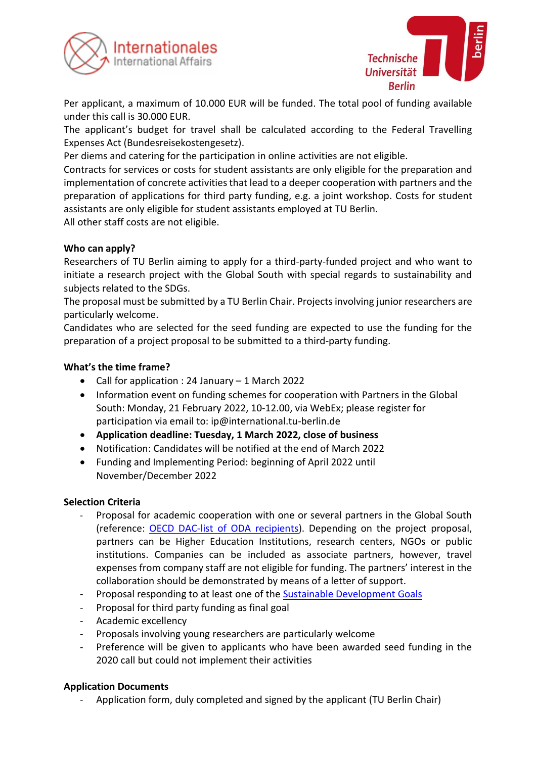



Per applicant, a maximum of 10.000 EUR will be funded. The total pool of funding available under this call is 30.000 EUR.

The applicant's budget for travel shall be calculated according to the Federal Travelling Expenses Act (Bundesreisekostengesetz).

Per diems and catering for the participation in online activities are not eligible.

Contracts for services or costs for student assistants are only eligible for the preparation and implementation of concrete activities that lead to a deeper cooperation with partners and the preparation of applications for third party funding, e.g. a joint workshop. Costs for student assistants are only eligible for student assistants employed at TU Berlin. All other staff costs are not eligible.

**Who can apply?**

Researchers of TU Berlin aiming to apply for a third-party-funded project and who want to initiate a research project with the Global South with special regards to sustainability and subjects related to the SDGs.

The proposal must be submitted by a TU Berlin Chair. Projects involving junior researchers are particularly welcome.

Candidates who are selected for the seed funding are expected to use the funding for the preparation of a project proposal to be submitted to a third-party funding.

## **What's the time frame?**

- Call for application : 24 January 1 March 2022
- Information event on funding schemes for cooperation with Partners in the Global South: Monday, 21 February 2022, 10-12.00, via WebEx; please register for participation via email to: ip@international.tu-berlin.de
- **Application deadline: Tuesday, 1 March 2022, close of business**
- Notification: Candidates will be notified at the end of March 2022
- Funding and Implementing Period: beginning of April 2022 until November/December 2022

## **Selection Criteria**

- Proposal for academic cooperation with one or several partners in the Global South (reference: [OECD DAC-list of ODA recipients\)](https://www.oecd.org/dac/financing-sustainable-development/development-finance-standards/DAC-List-of-ODA-Recipients-for-reporting-2022-23-flows.pdf). Depending on the project proposal, partners can be Higher Education Institutions, research centers, NGOs or public institutions. Companies can be included as associate partners, however, travel expenses from company staff are not eligible for funding. The partners' interest in the collaboration should be demonstrated by means of a letter of support.
- Proposal responding to at least one of the **Sustainable Development Goals**
- Proposal for third party funding as final goal
- Academic excellency
- Proposals involving young researchers are particularly welcome
- Preference will be given to applicants who have been awarded seed funding in the 2020 call but could not implement their activities

# **Application Documents**

Application form, duly completed and signed by the applicant (TU Berlin Chair)